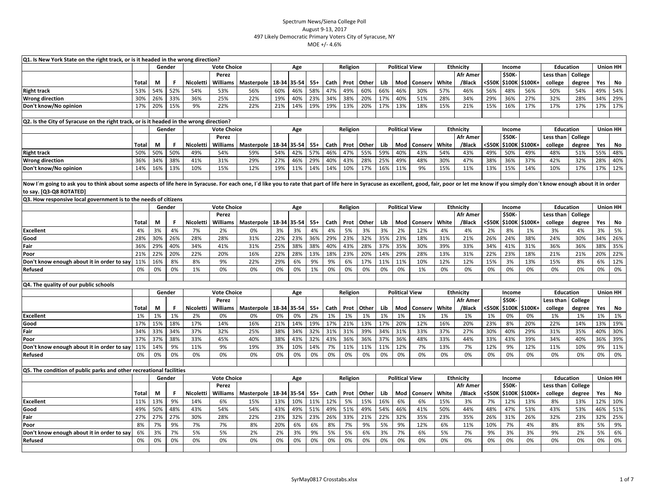| Q1. Is New York State on the right track, or is it headed in the wrong direction?<br><b>Union HH</b><br>Gender<br><b>Vote Choice</b><br>Religion<br><b>Political View</b><br><b>Ethnicity</b><br><b>Education</b><br>Age<br>Income |              |     |        |                  |                    |            |             |       |       |      |          |       |     |                       |         |       |                  |                  |               |                |                  |         |     |                 |
|------------------------------------------------------------------------------------------------------------------------------------------------------------------------------------------------------------------------------------|--------------|-----|--------|------------------|--------------------|------------|-------------|-------|-------|------|----------|-------|-----|-----------------------|---------|-------|------------------|------------------|---------------|----------------|------------------|---------|-----|-----------------|
|                                                                                                                                                                                                                                    |              |     |        |                  |                    |            |             |       |       |      |          |       |     |                       |         |       |                  |                  |               |                |                  |         |     |                 |
|                                                                                                                                                                                                                                    |              |     |        |                  | Perez              |            |             |       |       |      |          |       |     |                       |         |       | Afr Amer         |                  | <b>\$50K-</b> |                | Less than        | College |     |                 |
|                                                                                                                                                                                                                                    | Total        | М   | F      | Nicoletti        | Williams           | Masterpole | 18-34 35-54 |       | $55+$ | Cath | Prot     | Other | Lib | Mod                   | Conserv | White | /Black           | <\$50К           | <b>\$100K</b> | \$100K+        | college          | degree  | Yes | No              |
| <b>Right track</b>                                                                                                                                                                                                                 | 53%          | 54% | 52%    | 54%              | 53%                | 56%        | 60%         | 46%   | 58%   | 47%  | 49%      | 60%   | 66% | 46%                   | 30%     | 57%   | 46%              | 56%              | 48%           | 56%            | 50%              | 54%     | 49% | 54%             |
| <b>Wrong direction</b>                                                                                                                                                                                                             | 30%          | 26% | 33%    | 36%              | 25%                | 22%        | 19%         | 40%   | 23%   | 34%  | 38%      | 20%   | 17% | 40%                   | 51%     | 28%   | 34%              | 29%              | 36%           | 27%            | 32%              | 28%     | 34% | 29%             |
| Don't know/No opinion                                                                                                                                                                                                              | 17%          | 20% | 15%    | 9%               | 22%                | 22%        | 21%         | 14%   | 19%   | 19%  | 13%      | 20%   | 17% | 13%                   | 18%     | 15%   | 21%              | 15%              | 16%           | 17%            | 17%              | 17%     | 17% | 17%             |
|                                                                                                                                                                                                                                    |              |     |        |                  |                    |            |             |       |       |      |          |       |     |                       |         |       |                  |                  |               |                |                  |         |     |                 |
| Q2. Is the City of Syracuse on the right track, or is it headed in the wrong direction?                                                                                                                                            |              |     |        |                  |                    |            |             |       |       |      |          |       |     |                       |         |       |                  |                  |               |                |                  |         |     |                 |
|                                                                                                                                                                                                                                    |              |     | Gender |                  | <b>Vote Choice</b> |            |             | Age   |       |      | Religion |       |     | <b>Political View</b> |         |       | <b>Ethnicity</b> |                  | Income        |                | <b>Education</b> |         |     | <b>Union HH</b> |
|                                                                                                                                                                                                                                    |              |     |        |                  | Perez              |            |             |       |       |      |          |       |     |                       |         |       | Afr Amer         |                  | \$50K         |                | Less than        | College |     |                 |
|                                                                                                                                                                                                                                    | <b>Total</b> | М   | F      | Nicoletti        | <b>Williams</b>    | Masterpole | 18-34       | 35-54 | $55+$ | Cath | Prot     | Other | Lib | Mod                   | Conserv | White | /Black           | <\$50К           | \$100K        | \$100K+        | college          | degree  | Yes | No              |
| <b>Right track</b>                                                                                                                                                                                                                 | 50%          | 50% | 50%    | 49%              | 54%                | 59%        | 54%         | 42%   | 57%   | 46%  | 47%      | 55%   | 59% | 40%                   | 43%     | 54%   | 43%              | 49%              | 50%           | 49%            | 48%              | 51%     | 55% | 48%             |
| <b>Wrong direction</b>                                                                                                                                                                                                             | 36%          | 34% | 38%    | 41%              | 31%                | 29%        | 27%         | 46%   | 29%   | 40%  | 43%      | 28%   | 25% | 49%                   | 48%     | 30%   | 47%              | 38%              | 36%           | 37%            | 42%              | 32%     | 28% | 40%             |
| Don't know/No opinion                                                                                                                                                                                                              | 14%          | 16% | 13%    | 10%              | 15%                | 12%        | 19%         | 11%   | 14%   | 14%  | 10%      | 17%   | 16% | 11%                   | 9%      | 15%   | 11%              | 13%              | 15%           | 14%            | 10%              | 17%     | 17% | 12%             |
|                                                                                                                                                                                                                                    |              |     |        |                  |                    |            |             |       |       |      |          |       |     |                       |         |       |                  |                  |               |                |                  |         |     |                 |
| Now I'm going to ask you to think about some aspects of life here in Syracuse. For each one, I'd like you to rate that part of life here in Syracuse as excellent, good, fair, poor or let me know if you simply don't know en     |              |     |        |                  |                    |            |             |       |       |      |          |       |     |                       |         |       |                  |                  |               |                |                  |         |     |                 |
| to say. [Q3-Q8 ROTATED]                                                                                                                                                                                                            |              |     |        |                  |                    |            |             |       |       |      |          |       |     |                       |         |       |                  |                  |               |                |                  |         |     |                 |
| Q3. How responsive local government is to the needs of citizens                                                                                                                                                                    |              |     |        |                  |                    |            |             |       |       |      |          |       |     |                       |         |       |                  |                  |               |                |                  |         |     |                 |
|                                                                                                                                                                                                                                    |              |     | Gender |                  | <b>Vote Choice</b> |            |             | Age   |       |      | Religion |       |     | <b>Political View</b> |         |       | <b>Ethnicity</b> |                  | Income        |                | <b>Education</b> |         |     | <b>Union HH</b> |
|                                                                                                                                                                                                                                    |              |     |        |                  | Perez              |            |             |       |       |      |          |       |     |                       |         |       | Afr Amer         |                  | \$50K-        |                | Less than        | College |     |                 |
|                                                                                                                                                                                                                                    | <b>Total</b> | М   | F      | Nicoletti        | Williams           | Masterpole | 18-34       | 35-54 | $55+$ | Cath | Prot     | Other | Lib | Mod                   | Conserv | White | /Black           | <\$50K           |               | \$100K \$100K+ | college          | degree  | Yes | No              |
| <b>Excellent</b>                                                                                                                                                                                                                   | 4%           | 3%  | 4%     | 7%               | 2%                 | 0%         | 3%          | 3%    | 4%    | 4%   | 5%       | 3%    | 3%  | 2%                    | 12%     | 4%    | 4%               | 2%               | 8%            | 1%             | 3%               | 4%      | 3%  | 5%              |
| Good                                                                                                                                                                                                                               | 28%          | 30% | 26%    | 28%              | 28%                | 31%        | 22%         | 23%   | 36%   | 29%  | 23%      | 32%   | 35% | 23%                   | 18%     | 31%   | 21%              | 26%              | 24%           | 38%            | 24%              | 30%     | 34% | 26%             |
| Fair                                                                                                                                                                                                                               | 36%          | 29% | 40%    | 34%              | 41%                | 31%        | 25%         | 38%   | 38%   | 40%  | 43%      | 28%   | 37% | 35%                   | 30%     | 39%   | 33%              | 34%              | 41%           | 31%            | 36%              | 36%     | 38% | 35%             |
| Poor                                                                                                                                                                                                                               | 21%          | 22% | 20%    | 22%              | 20%                | 16%        | 22%         | 28%   | 13%   | 18%  | 23%      | 20%   | 14% | 29%                   | 28%     | 13%   | 31%              | 22%              | 23%           | 18%            | 21%              | 21%     | 20% | 22%             |
| Don't know enough about it in order to say                                                                                                                                                                                         | 11%          | 16% | 8%     | 8%               | 9%                 | 22%        | 29%         | 6%    | 9%    | 9%   | 6%       | 17%   | 11% | 11%                   | 10%     | 12%   | 12%              | 15%              | 3%            | 13%            | 15%              | 8%      | 6%  | 12%             |
| Refused                                                                                                                                                                                                                            | 0%           | 0%  | 0%     | 1%               | 0%                 | 0%         | 0%          | 0%    | 1%    | 0%   | 0%       | 0%    | 0%  | 0%                    | 1%      | 0%    | 0%               | 0%               | 0%            | 0%             | 0%               | 0%      | 0%  | 0%              |
|                                                                                                                                                                                                                                    |              |     |        |                  |                    |            |             |       |       |      |          |       |     |                       |         |       |                  |                  |               |                |                  |         |     |                 |
| Q4. The quality of our public schools                                                                                                                                                                                              |              |     |        |                  |                    |            |             |       |       |      |          |       |     |                       |         |       |                  |                  |               |                |                  |         |     |                 |
|                                                                                                                                                                                                                                    |              |     | Gender |                  | <b>Vote Choice</b> |            |             | Age   |       |      | Religion |       |     | <b>Political View</b> |         |       | Ethnicity        |                  | Income        |                | <b>Education</b> |         |     | <b>Union HH</b> |
|                                                                                                                                                                                                                                    |              |     |        |                  | Perez              |            |             |       |       |      |          |       |     |                       |         |       | <b>Afr Amer</b>  |                  | \$50K-        |                | Less than        | College |     |                 |
|                                                                                                                                                                                                                                    | Total        | M   | F      | <b>Nicoletti</b> | <b>Williams</b>    | Masterpole | 18-34       | 35-54 | $55+$ | Cath | Prot     | Other | Lib | Mod                   | Conserv | White | /Black           | <b>&lt;\$50K</b> | \$100K        | \$100K+        | college          | degree  | Yes | No              |
| <b>Excellent</b>                                                                                                                                                                                                                   | 1%           | 1%  | 1%     | 2%               | 0%                 | 0%         | 0%          | 0%    | 2%    | 1%   | 1%       | 1%    | 1%  | 1%                    | 1%      | 1%    | 1%               | 1%               | 0%            | 0%             | 1%               | 1%      | 1%  | 1%              |
| Good                                                                                                                                                                                                                               | 17%          | 15% | 18%    | 17%              | 14%                | 16%        | 21%         | 14%   | 19%   | 17%  | 21%      | 13%   | 17% | 20%                   | 12%     | 16%   | 20%              | 23%              | 8%            | 20%            | 22%              | 14%     | 13% | 19%             |
| Fair                                                                                                                                                                                                                               | 34%          | 33% | 34%    | 37%              | 32%                | 25%        | 38%         | 34%   | 32%   | 31%  | 31%      | 39%   | 34% | 31%                   | 33%     | 37%   | 27%              | 30%              | 40%           | 29%            | 31%              | 35%     | 40% | 30%             |
| Poor                                                                                                                                                                                                                               | 37%          | 37% | 38%    | 33%              | 45%                | 40%        | 38%         | 43%   | 32%   | 43%  | 36%      | 36%   | 37% | 36%                   | 48%     | 33%   | 44%              | 33%              | 43%           | 39%            | 34%              | 40%     | 36% | 39%             |
| Don't know enough about it in order to say                                                                                                                                                                                         | 11%          | 14% | 9%     | 11%              | 9%                 | 19%        | 3%          | 10%   | 14%   | 7%   | 11%      | 11%   | 11% | 12%                   | 7%      | 13%   | 7%               | 12%              | 9%            | 12%            | 11%              | 10%     | 9%  | 11%             |
| Refused                                                                                                                                                                                                                            | 0%           | 0%  | 0%     | 0%               | 0%                 | 0%         | 0%          | 0%    | 0%    | 0%   | 0%       | 0%    | 0%  | 0%                    | 0%      | 0%    | 0%               | 0%               | 0%            | 0%             | 0%               | 0%      | 0%  | 0%              |
|                                                                                                                                                                                                                                    |              |     |        |                  |                    |            |             |       |       |      |          |       |     |                       |         |       |                  |                  |               |                |                  |         |     |                 |
| Q5. The condition of public parks and other recreational facilities                                                                                                                                                                |              |     |        |                  |                    |            |             |       |       |      |          |       |     |                       |         |       |                  |                  |               |                |                  |         |     |                 |
|                                                                                                                                                                                                                                    |              |     | Gender |                  | <b>Vote Choice</b> |            |             | Age   |       |      | Religion |       |     | <b>Political View</b> |         |       | Ethnicity        |                  | Income        |                | <b>Education</b> |         |     | <b>Union HH</b> |
|                                                                                                                                                                                                                                    |              |     |        |                  | Perez              |            |             |       |       |      |          |       |     |                       |         |       | Afr Amer         |                  | \$50K-        |                | Less than        | College |     |                 |
|                                                                                                                                                                                                                                    | Total        | М   | F      | Nicoletti        | Williams           | Masterpole | 18-34       | 35-54 | $55+$ | Cath | Prot     | Other | Lib | Mod                   | Conserv | White | /Black           | <\$50к           | <b>\$100K</b> | \$100K+        | college          | degree  | Yes | No              |
| <b>Excellent</b>                                                                                                                                                                                                                   | 11%          | 13% | 9%     | 14%              | 6%                 | 15%        | 13%         | 10%   | 11%   | 12%  | 5%       | 15%   | 16% | 6%                    | 6%      | 15%   | 3%               | 7%               | 12%           | 13%            | 8%               | 13%     | 12% | 10%             |
| Good                                                                                                                                                                                                                               | 49%          | 50% | 48%    | 43%              | 54%                | 54%        | 43%         | 49%   | 51%   | 49%  | 51%      | 49%   | 54% | 46%                   | 41%     | 50%   | 44%              | 48%              | 47%           | 53%            | 43%              | 53%     | 46% | 51%             |
| Fair                                                                                                                                                                                                                               | 27%          | 27% | 27%    | 30%              | 28%                | 22%        | 23%         | 32%   | 23%   | 26%  | 33%      | 21%   | 22% | 32%                   | 35%     | 23%   | 35%              | 26%              | 31%           | 26%            | 32%              | 23%     | 32% | 25%             |
| Poor                                                                                                                                                                                                                               | 8%           | 7%  | 9%     | 7%               | 7%                 | 8%         | 20%         | 6%    | 6%    | 8%   | 7%       | 9%    | 5%  | 9%                    | 12%     | 6%    | 11%              | 10%              | 7%            | 4%             | 8%               | 8%      | 5%  | 9%              |
| Don't know enough about it in order to say                                                                                                                                                                                         | 6%           | 3%  | 7%     | 5%               | 5%                 | 2%         | 2%          | 3%    | 9%    | 5%   | 5%       | 6%    | 3%  | 7%                    | 6%      | 5%    | 7%               | 9%               | 3%            | 3%             | 9%               | 2%      | 5%  | 6%              |
| Refused                                                                                                                                                                                                                            | 0%           | 0%  | 0%     | 0%               | 0%                 | 0%         | 0%          | 0%    | 0%    | 0%   | 0%       | 0%    | 0%  | 0%                    | 0%      | 0%    | 0%               | 0%               | 0%            | 0%             | 0%               | 0%      | 0%  | 0%              |
|                                                                                                                                                                                                                                    |              |     |        |                  |                    |            |             |       |       |      |          |       |     |                       |         |       |                  |                  |               |                |                  |         |     |                 |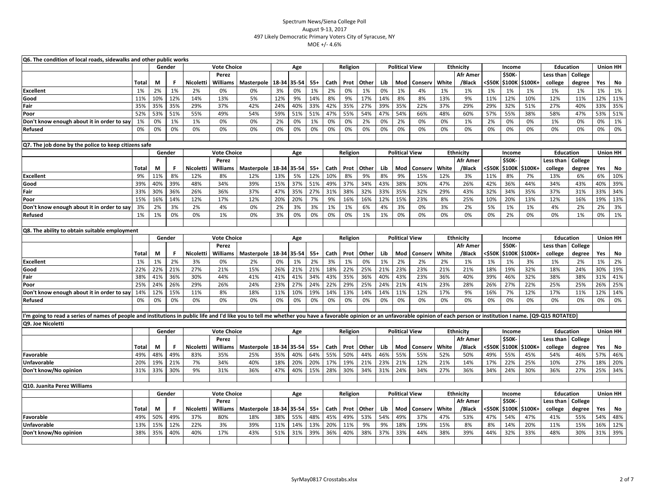| Gender<br><b>Vote Choice</b><br><b>Political View</b><br><b>Ethnicity</b><br><b>Education</b><br>Age<br>Religion<br>Income<br>Perez<br>Afr Amer<br><b>\$50K</b><br>Less than<br>College<br>Other<br><\$50К<br><b>Total</b><br>Nicoletti<br>Williams<br>Masterpole<br>18-34<br>35-54<br>Cath<br>Prot<br>Lib<br>Mod<br>White<br>/Black<br>\$100K<br>\$100K+<br>college<br>degree<br>Yes<br>М<br>F<br>$55+$<br>Conserv<br>3%<br>1%<br>1%<br>2%<br>0%<br>1%<br>2%<br>0%<br>1%<br>1%<br>1%<br><b>Excellent</b><br>2%<br>0%<br>0%<br>0%<br>1%<br>4%<br>1%<br>1%<br>1%<br>1%<br>1%<br>1%<br>12%<br>12%<br>14%<br>9%<br>9%<br>17%<br>8%<br>11%<br>10%<br>12%<br>12%<br>11%<br>10%<br>13%<br>5%<br>14%<br>8%<br>14%<br>8%<br>13%<br>9%<br>12%<br>11%<br>Good<br>35%<br>29%<br>42%<br>24%<br>40%<br>33%<br>42%<br>35%<br>39%<br>35%<br>22%<br>29%<br>51%<br>27%<br>40%<br>33%<br>35%<br>35%<br>37%<br>27%<br>37%<br>29%<br>32%<br>Fair<br>59%<br>54%<br>51%<br>55%<br>49%<br>54%<br>51%<br>51%<br>47%<br>55%<br>54%<br>47%<br>66%<br>57%<br>55%<br>38%<br>58%<br>47%<br>53%<br>52%<br>53%<br>48%<br>60%<br>Poor<br>2%<br>0%<br>1%<br>1%<br>0%<br>0%<br>2%<br>0%<br>1%<br>0%<br>0%<br>0%<br>2%<br>0%<br>0%<br>1%<br>0%<br>0%<br>Don't know enough about it in order to say<br>1%<br>2%<br>0%<br>1%<br>0%<br>0%<br>0%<br>0%<br>0%<br>0%<br>0%<br>0%<br>0%<br>0%<br>0%<br>0%<br>0%<br>0%<br>0%<br>0%<br>0%<br>0%<br>0%<br>0%<br>0%<br>0%<br>0%<br>0%<br>Refused | <b>Union HH</b><br>No<br>1%<br>11%<br>35%<br>51%<br>1%<br>0%<br><b>Union HH</b> |
|----------------------------------------------------------------------------------------------------------------------------------------------------------------------------------------------------------------------------------------------------------------------------------------------------------------------------------------------------------------------------------------------------------------------------------------------------------------------------------------------------------------------------------------------------------------------------------------------------------------------------------------------------------------------------------------------------------------------------------------------------------------------------------------------------------------------------------------------------------------------------------------------------------------------------------------------------------------------------------------------------------------------------------------------------------------------------------------------------------------------------------------------------------------------------------------------------------------------------------------------------------------------------------------------------------------------------------------------------------------------------------------------------------------------------------------------------|---------------------------------------------------------------------------------|
|                                                                                                                                                                                                                                                                                                                                                                                                                                                                                                                                                                                                                                                                                                                                                                                                                                                                                                                                                                                                                                                                                                                                                                                                                                                                                                                                                                                                                                                    |                                                                                 |
|                                                                                                                                                                                                                                                                                                                                                                                                                                                                                                                                                                                                                                                                                                                                                                                                                                                                                                                                                                                                                                                                                                                                                                                                                                                                                                                                                                                                                                                    |                                                                                 |
|                                                                                                                                                                                                                                                                                                                                                                                                                                                                                                                                                                                                                                                                                                                                                                                                                                                                                                                                                                                                                                                                                                                                                                                                                                                                                                                                                                                                                                                    |                                                                                 |
|                                                                                                                                                                                                                                                                                                                                                                                                                                                                                                                                                                                                                                                                                                                                                                                                                                                                                                                                                                                                                                                                                                                                                                                                                                                                                                                                                                                                                                                    |                                                                                 |
|                                                                                                                                                                                                                                                                                                                                                                                                                                                                                                                                                                                                                                                                                                                                                                                                                                                                                                                                                                                                                                                                                                                                                                                                                                                                                                                                                                                                                                                    |                                                                                 |
|                                                                                                                                                                                                                                                                                                                                                                                                                                                                                                                                                                                                                                                                                                                                                                                                                                                                                                                                                                                                                                                                                                                                                                                                                                                                                                                                                                                                                                                    |                                                                                 |
|                                                                                                                                                                                                                                                                                                                                                                                                                                                                                                                                                                                                                                                                                                                                                                                                                                                                                                                                                                                                                                                                                                                                                                                                                                                                                                                                                                                                                                                    |                                                                                 |
|                                                                                                                                                                                                                                                                                                                                                                                                                                                                                                                                                                                                                                                                                                                                                                                                                                                                                                                                                                                                                                                                                                                                                                                                                                                                                                                                                                                                                                                    |                                                                                 |
|                                                                                                                                                                                                                                                                                                                                                                                                                                                                                                                                                                                                                                                                                                                                                                                                                                                                                                                                                                                                                                                                                                                                                                                                                                                                                                                                                                                                                                                    |                                                                                 |
|                                                                                                                                                                                                                                                                                                                                                                                                                                                                                                                                                                                                                                                                                                                                                                                                                                                                                                                                                                                                                                                                                                                                                                                                                                                                                                                                                                                                                                                    |                                                                                 |
| Q7. The job done by the police to keep citizens safe                                                                                                                                                                                                                                                                                                                                                                                                                                                                                                                                                                                                                                                                                                                                                                                                                                                                                                                                                                                                                                                                                                                                                                                                                                                                                                                                                                                               |                                                                                 |
| Gender<br><b>Vote Choice</b><br><b>Political View</b><br><b>Ethnicity</b><br><b>Education</b><br>Age<br>Religion<br>Income                                                                                                                                                                                                                                                                                                                                                                                                                                                                                                                                                                                                                                                                                                                                                                                                                                                                                                                                                                                                                                                                                                                                                                                                                                                                                                                         |                                                                                 |
| Perez<br><b>Afr Amer</b><br><b>\$50K-</b><br>Less than<br>College                                                                                                                                                                                                                                                                                                                                                                                                                                                                                                                                                                                                                                                                                                                                                                                                                                                                                                                                                                                                                                                                                                                                                                                                                                                                                                                                                                                  |                                                                                 |
| White<br><\$50К<br>Yes<br>Nicoletti<br>Williams<br>18-34<br>35-54<br>$55+$<br>Prot<br>Other<br>Lib<br>Mod<br>Conserv<br>\$100K \$100K+<br>degree<br>Total<br>М<br>F.<br>Masterpole<br>Cath<br>/Black<br>college                                                                                                                                                                                                                                                                                                                                                                                                                                                                                                                                                                                                                                                                                                                                                                                                                                                                                                                                                                                                                                                                                                                                                                                                                                    | No                                                                              |
| 8%<br>13%<br>5%<br>9%<br>9%<br>11%<br>12%<br>12%<br>10%<br>8%<br>9%<br>8%<br>15%<br>3%<br>11%<br>6%<br><b>Excellent</b><br>8%<br>12%<br>12%<br>8%<br>7%<br>13%<br>6%                                                                                                                                                                                                                                                                                                                                                                                                                                                                                                                                                                                                                                                                                                                                                                                                                                                                                                                                                                                                                                                                                                                                                                                                                                                                               | 10%                                                                             |
| 15%<br>39%<br>40%<br>39%<br>48%<br>34%<br>37%<br>51%<br>37%<br>43%<br>38%<br>42%<br>44%<br>43%<br>40%<br>39%<br>49%<br>34%<br>30%<br>47%<br>26%<br>36%<br>34%<br>Good                                                                                                                                                                                                                                                                                                                                                                                                                                                                                                                                                                                                                                                                                                                                                                                                                                                                                                                                                                                                                                                                                                                                                                                                                                                                              | 39%                                                                             |
| 36%<br>26%<br>36%<br>37%<br>47%<br>35%<br>27%<br>38%<br>32%<br>35%<br>32%<br>32%<br>35%<br>37%<br>33%<br>33%<br>30%<br>31%<br>33%<br>29%<br>43%<br>34%<br>31%<br>Fair                                                                                                                                                                                                                                                                                                                                                                                                                                                                                                                                                                                                                                                                                                                                                                                                                                                                                                                                                                                                                                                                                                                                                                                                                                                                              | 34%                                                                             |
| 12%<br>20%<br>20%<br>12%<br>15%<br>23%<br>10%<br>13%<br>12%<br>15%<br>16%<br>14%<br>17%<br>12%<br>7%<br>9%<br>16%<br>16%<br>8%<br>25%<br>20%<br>16%<br>19%<br>Poor                                                                                                                                                                                                                                                                                                                                                                                                                                                                                                                                                                                                                                                                                                                                                                                                                                                                                                                                                                                                                                                                                                                                                                                                                                                                                 | 13%                                                                             |
| 3%<br>2%<br>0%<br>2%<br>3%<br>3%<br>1%<br>3%<br>0%<br>5%<br>1%<br>4%<br>2%<br>3%<br>2%<br>4%<br>1%<br>6%<br>4%<br>3%<br>2%<br>1%<br>2%<br>Don't know enough about it in order to say                                                                                                                                                                                                                                                                                                                                                                                                                                                                                                                                                                                                                                                                                                                                                                                                                                                                                                                                                                                                                                                                                                                                                                                                                                                               | 3%                                                                              |
| 0%<br>3%<br>0%<br>0%<br>1%<br>1%<br>0%<br>1%<br>0%<br>0%<br>0%<br>0%<br>1%<br>0%<br>0%<br>0%<br>0%<br>2%<br>0%<br>0%<br>1%<br>0%<br>1%<br>Refused                                                                                                                                                                                                                                                                                                                                                                                                                                                                                                                                                                                                                                                                                                                                                                                                                                                                                                                                                                                                                                                                                                                                                                                                                                                                                                  | 1%                                                                              |
|                                                                                                                                                                                                                                                                                                                                                                                                                                                                                                                                                                                                                                                                                                                                                                                                                                                                                                                                                                                                                                                                                                                                                                                                                                                                                                                                                                                                                                                    |                                                                                 |
| Q8. The ability to obtain suitable employment                                                                                                                                                                                                                                                                                                                                                                                                                                                                                                                                                                                                                                                                                                                                                                                                                                                                                                                                                                                                                                                                                                                                                                                                                                                                                                                                                                                                      |                                                                                 |
| <b>Education</b><br>Gender<br><b>Vote Choice</b><br>Age<br>Religion<br><b>Political View</b><br><b>Ethnicity</b><br>Income                                                                                                                                                                                                                                                                                                                                                                                                                                                                                                                                                                                                                                                                                                                                                                                                                                                                                                                                                                                                                                                                                                                                                                                                                                                                                                                         | <b>Union HH</b>                                                                 |
| \$50K-<br>Perez<br><b>Afr Amer</b><br>Less than<br>College                                                                                                                                                                                                                                                                                                                                                                                                                                                                                                                                                                                                                                                                                                                                                                                                                                                                                                                                                                                                                                                                                                                                                                                                                                                                                                                                                                                         |                                                                                 |
| White<br><\$50K<br><b>Nicoletti</b><br>Williams<br>Other<br>Lib<br>Mod<br>/Black<br>\$100K \$100K+<br>college<br>degree<br>Yes<br>M<br>F<br>Masterpole<br>18-34<br>35-54<br>$55+$<br>Cath<br>Prot<br>Conserv<br>Total                                                                                                                                                                                                                                                                                                                                                                                                                                                                                                                                                                                                                                                                                                                                                                                                                                                                                                                                                                                                                                                                                                                                                                                                                              | No                                                                              |
| 2%<br>0%<br>1%<br>2%<br>1%<br>1%<br>1%<br>1%<br>3%<br>3%<br>1%<br>0%<br>2%<br>2%<br>2%<br>1%<br>3%<br><b>Excellent</b><br>0%<br>2%<br>1%<br>1%<br>1%<br>2%                                                                                                                                                                                                                                                                                                                                                                                                                                                                                                                                                                                                                                                                                                                                                                                                                                                                                                                                                                                                                                                                                                                                                                                                                                                                                         | 2%                                                                              |
| 21%<br>27%<br>26%<br>21%<br>22%<br>23%<br>32%<br>22%<br>22%<br>21%<br>15%<br>21%<br>18%<br>25%<br>21%<br>23%<br>21%<br>21%<br>18%<br>19%<br>18%<br>24%<br>30%<br>Good                                                                                                                                                                                                                                                                                                                                                                                                                                                                                                                                                                                                                                                                                                                                                                                                                                                                                                                                                                                                                                                                                                                                                                                                                                                                              | 19%                                                                             |
| 36%<br>30%<br>41%<br>41%<br>34%<br>43%<br>35%<br>36%<br>40%<br>43%<br>23%<br>39%<br>46%<br>32%<br>38%<br>38%<br>31%<br>38%<br>41%<br>44%<br>41%<br>36%<br>40%<br>Fair<br>22%                                                                                                                                                                                                                                                                                                                                                                                                                                                                                                                                                                                                                                                                                                                                                                                                                                                                                                                                                                                                                                                                                                                                                                                                                                                                       | 41%                                                                             |
| 23%<br>21%<br>25%<br>24%<br>26%<br>29%<br>26%<br>24%<br>27%<br>24%<br>22%<br>29%<br>25%<br>24%<br>41%<br>28%<br>26%<br>27%<br>25%<br>25%<br>26%<br>23%<br>Poor                                                                                                                                                                                                                                                                                                                                                                                                                                                                                                                                                                                                                                                                                                                                                                                                                                                                                                                                                                                                                                                                                                                                                                                                                                                                                     | 25%                                                                             |
| 15%<br>11%<br>18%<br>11%<br>10%<br>19%<br>14%<br>13%<br>11%<br>12%<br>16%<br>12%<br>17%<br>12%<br>14%<br>12%<br>8%<br>14%<br>14%<br>17%<br>9%<br>7%<br>11%<br>Don't know enough about it in order to say                                                                                                                                                                                                                                                                                                                                                                                                                                                                                                                                                                                                                                                                                                                                                                                                                                                                                                                                                                                                                                                                                                                                                                                                                                           | 14%                                                                             |
| 0%<br>0%<br>0%<br>0%<br>0%<br>0%<br>0%<br>0%<br>0%<br>0%<br>0%<br>0%<br>0%<br>0%<br>0%<br>0%<br>0%<br>0%<br>0%<br>0%<br>0%<br>0%<br>0%<br>Refused                                                                                                                                                                                                                                                                                                                                                                                                                                                                                                                                                                                                                                                                                                                                                                                                                                                                                                                                                                                                                                                                                                                                                                                                                                                                                                  | 0%                                                                              |
| "m going to read a series of names of people and institutions in public life and I'd like you to tell me whether you have a favorable opinion or an unfavorable opinion of each person or institution I name. [Q9-Q15 ROTATED]                                                                                                                                                                                                                                                                                                                                                                                                                                                                                                                                                                                                                                                                                                                                                                                                                                                                                                                                                                                                                                                                                                                                                                                                                     |                                                                                 |
|                                                                                                                                                                                                                                                                                                                                                                                                                                                                                                                                                                                                                                                                                                                                                                                                                                                                                                                                                                                                                                                                                                                                                                                                                                                                                                                                                                                                                                                    |                                                                                 |
| Q9. Joe Nicoletti<br><b>Education</b><br>Gender<br><b>Vote Choice</b><br>Religion<br><b>Political View</b><br><b>Ethnicity</b><br>Income                                                                                                                                                                                                                                                                                                                                                                                                                                                                                                                                                                                                                                                                                                                                                                                                                                                                                                                                                                                                                                                                                                                                                                                                                                                                                                           | <b>Union HH</b>                                                                 |
| Age<br>\$50K-<br>Perez<br><b>Afr Amer</b><br>Less than<br>College                                                                                                                                                                                                                                                                                                                                                                                                                                                                                                                                                                                                                                                                                                                                                                                                                                                                                                                                                                                                                                                                                                                                                                                                                                                                                                                                                                                  |                                                                                 |
| White<br>/Black<br>college<br>F.<br>Nicoletti<br><b>Williams</b><br>Masterpole 18-34<br>35-54<br>$55+$<br>Cath<br>Prot<br>Other<br>Lib<br>Mod<br><\$50K<br>\$100K \$100K+<br>degree<br>Yes<br>М<br>Conserv<br>Total                                                                                                                                                                                                                                                                                                                                                                                                                                                                                                                                                                                                                                                                                                                                                                                                                                                                                                                                                                                                                                                                                                                                                                                                                                | No                                                                              |
| 48%<br>49%<br>35%<br>40%<br>64%<br>55%<br>50%<br>46%<br>55%<br>57%<br>49%<br>83%<br>35%<br>25%<br>44%<br>55%<br>52%<br>50%<br>49%<br>55%<br>45%<br>54%<br>46%<br>Favorable                                                                                                                                                                                                                                                                                                                                                                                                                                                                                                                                                                                                                                                                                                                                                                                                                                                                                                                                                                                                                                                                                                                                                                                                                                                                         | 46%                                                                             |
| 7%<br>18%<br>20%<br>20%<br>17%<br>19%<br>21%<br>23%<br>21%<br>22%<br>25%<br>20%<br>19%<br>21%<br>34%<br>40%<br>12%<br>21%<br>14%<br>17%<br>10%<br>27%<br>18%<br>Unfavorable                                                                                                                                                                                                                                                                                                                                                                                                                                                                                                                                                                                                                                                                                                                                                                                                                                                                                                                                                                                                                                                                                                                                                                                                                                                                        | 20%                                                                             |
| 9%<br>15%<br>30%<br>24%<br>36%<br>25%<br>31%<br>33%<br>30%<br>31%<br>36%<br>47%<br>40%<br>28%<br>34%<br>31%<br>34%<br>27%<br>36%<br>34%<br>24%<br>30%<br>27%<br>Don't know/No opinion                                                                                                                                                                                                                                                                                                                                                                                                                                                                                                                                                                                                                                                                                                                                                                                                                                                                                                                                                                                                                                                                                                                                                                                                                                                              | 34%                                                                             |
|                                                                                                                                                                                                                                                                                                                                                                                                                                                                                                                                                                                                                                                                                                                                                                                                                                                                                                                                                                                                                                                                                                                                                                                                                                                                                                                                                                                                                                                    |                                                                                 |
| Q10. Juanita Perez Williams                                                                                                                                                                                                                                                                                                                                                                                                                                                                                                                                                                                                                                                                                                                                                                                                                                                                                                                                                                                                                                                                                                                                                                                                                                                                                                                                                                                                                        |                                                                                 |
| <b>Education</b><br>Gender<br><b>Vote Choice</b><br>Religion<br><b>Political View</b><br><b>Ethnicity</b><br>Age<br>Income                                                                                                                                                                                                                                                                                                                                                                                                                                                                                                                                                                                                                                                                                                                                                                                                                                                                                                                                                                                                                                                                                                                                                                                                                                                                                                                         | <b>Union HH</b>                                                                 |
| \$50K-<br><b>Afr Amer</b><br>Less than<br>College<br>Perez                                                                                                                                                                                                                                                                                                                                                                                                                                                                                                                                                                                                                                                                                                                                                                                                                                                                                                                                                                                                                                                                                                                                                                                                                                                                                                                                                                                         |                                                                                 |
| Nicoletti<br>Williams<br>Masterpole 18-34<br>35-54<br>$55+$<br><b>Prot</b><br>Other<br>Mod<br>White<br>/Black<br><\$50K<br>\$100K \$100K+<br>college<br>degree<br>Yes<br>Total<br>M<br>F<br>Cath<br>Lib<br>Conserv                                                                                                                                                                                                                                                                                                                                                                                                                                                                                                                                                                                                                                                                                                                                                                                                                                                                                                                                                                                                                                                                                                                                                                                                                                 | No                                                                              |
| 38%<br>55%<br>49%<br>54%<br>49%<br>50%<br>49%<br>37%<br>48%<br>45%<br>53%<br>49%<br>37%<br>47%<br>41%<br>55%<br>54%<br>Favorable<br>80%<br>18%<br>47%<br>53%<br>54%<br>47%                                                                                                                                                                                                                                                                                                                                                                                                                                                                                                                                                                                                                                                                                                                                                                                                                                                                                                                                                                                                                                                                                                                                                                                                                                                                         | 48%                                                                             |
| 18%<br>15%<br>12%<br>22%<br>3%<br>39%<br>11%<br>14%<br>13%<br>20%<br>11%<br>9%<br>9%<br>19%<br>15%<br>8%<br>8%<br>14%<br>20%<br>11%<br>15%<br>16%<br><b>Unfavorable</b><br>13%                                                                                                                                                                                                                                                                                                                                                                                                                                                                                                                                                                                                                                                                                                                                                                                                                                                                                                                                                                                                                                                                                                                                                                                                                                                                     | 12%                                                                             |
| 38%<br>40%<br>40%<br>17%<br>43%<br>51%<br>31%<br>39%<br>36%<br>40%<br>38%<br>33%<br>44%<br>38%<br>39%<br>44%<br>32%<br>33%<br>48%<br>30%<br>31%<br>35%<br>37%<br>Don't know/No opinion                                                                                                                                                                                                                                                                                                                                                                                                                                                                                                                                                                                                                                                                                                                                                                                                                                                                                                                                                                                                                                                                                                                                                                                                                                                             | 39%                                                                             |
|                                                                                                                                                                                                                                                                                                                                                                                                                                                                                                                                                                                                                                                                                                                                                                                                                                                                                                                                                                                                                                                                                                                                                                                                                                                                                                                                                                                                                                                    |                                                                                 |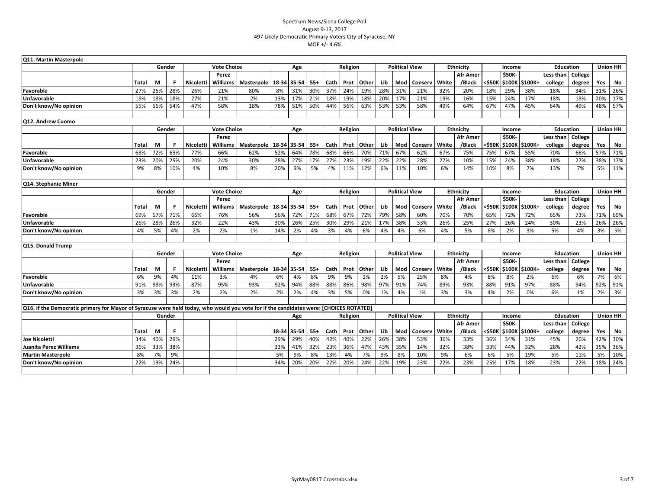| Q11. Martin Masterpole                                                                                                                 |              |        |     |           |                    |                          |             |           |           |            |          |           |                       |                       |            |                              |                  |                         |               |                |                  |               |                 |           |
|----------------------------------------------------------------------------------------------------------------------------------------|--------------|--------|-----|-----------|--------------------|--------------------------|-------------|-----------|-----------|------------|----------|-----------|-----------------------|-----------------------|------------|------------------------------|------------------|-------------------------|---------------|----------------|------------------|---------------|-----------------|-----------|
|                                                                                                                                        |              | Gender |     |           | <b>Vote Choice</b> |                          |             | Age       |           |            | Religion |           |                       | <b>Political View</b> |            |                              | Ethnicity        |                         | Income        |                | <b>Education</b> |               | <b>Union HH</b> |           |
|                                                                                                                                        |              |        |     |           | Perez              |                          |             |           |           |            |          |           |                       |                       |            |                              | <b>Afr Amer</b>  |                         | \$50K-        |                | Less than        | College       |                 |           |
|                                                                                                                                        | Total        | M      |     | Nicoletti | Williams           | Masterpole               | 18-34 35-54 |           | $55+$     | Cath       | Prot     | Other     | Lib                   | Mod                   | Conserv    | White                        | /Black           | <\$50K                  | <b>\$100K</b> | <b>S100K+</b>  | college          | degree        | Yes             | No        |
| Favorable                                                                                                                              | 27%          | 26%    | 28% | 26%       | 21%                | 80%                      | 8%          | 31%       | 30%       | 37%        | 24%      | 19%       | 28%                   | 31%                   | 21%        | 32%                          | 20%              | 18%                     | 29%           | 38%            | 18%              | 34%           | 31%             | 26%       |
| <b>Unfavorable</b>                                                                                                                     | 18%          | 18%    | 18% | 27%       | 21%                | 2%                       | 13%         | 17%       | 21%       | 18%        | 19%      | 18%       | 20%                   | 17%                   | 21%        | 19%                          | 16%              | 15%                     | 24%           | 17%            | 18%              | 18%           | 20%             | 17%       |
| Don't know/No opinion                                                                                                                  | 55%          | 56%    | 54% | 47%       | 58%                | 18%                      | 78%         | 51%       | 50%       | 44%        | 56%      | 63%       | 53%                   | 53%                   | 58%        | 49%                          | 64%              | 67%                     | 47%           | 45%            | 64%              | 49%           | 48%             | 57%       |
|                                                                                                                                        |              |        |     |           |                    |                          |             |           |           |            |          |           |                       |                       |            |                              |                  |                         |               |                |                  |               |                 |           |
| Q12. Andrew Cuomo                                                                                                                      |              |        |     |           |                    |                          |             |           |           |            |          |           |                       |                       |            |                              |                  |                         |               |                |                  |               |                 |           |
|                                                                                                                                        |              | Gender |     |           | <b>Vote Choice</b> |                          |             | Age       |           |            | Religion |           |                       | <b>Political View</b> |            |                              | Ethnicity        |                         | Income        |                | <b>Education</b> |               | <b>Union HH</b> |           |
|                                                                                                                                        |              |        |     |           | Perez              |                          |             |           |           |            |          |           |                       |                       |            |                              | Afr Amer         |                         | \$50K-        |                | Less than        | College       |                 |           |
|                                                                                                                                        | Total        | М      |     | Nicoletti | Williams           | Masterpole               | 18-34 35-54 |           | 55+       | Cath       | Prot     | Other     | Lib                   | Mod                   | Conserv    | White                        | /Black           | <\$50K                  | \$100K        | \$100K+        | college          | degree        | Yes             | No        |
| Favorable                                                                                                                              | 68%          | 72%    | 65% | 77%       | 66%                | 62%                      | 52%         | 64%       | 78%       | 68%        | 66%      | 70%       | 71%                   | 67%                   | 62%        | 67%                          | 75%              | 75%                     | 67%           | 55%            | 70%              | 66%           | 57%             | 71%       |
| <b>Unfavorable</b>                                                                                                                     | 23%          | 20%    | 25% | 20%       | 24%                | 30%                      | 28%         | 27%       | 17%       | 27%        | 23%      | 19%       | 22%                   | 22%                   | 28%        | 27%                          | 10%              | 15%                     | 24%           | 38%            | 18%              | 27%           | 38%             | 17%       |
| Don't know/No opinion                                                                                                                  | 9%           | 8%     | 10% | 4%        | 10%                | 8%                       | 20%         | 9%        | 5%        | 4%         | 11%      | 12%       | 6%                    | 11%                   | 10%        | 6%                           | 14%              | 10%                     | 8%            | 7%             | 13%              | 7%            | 5%              | 11%       |
|                                                                                                                                        |              |        |     |           |                    |                          |             |           |           |            |          |           |                       |                       |            |                              |                  |                         |               |                |                  |               |                 |           |
| Q14. Stephanie Miner                                                                                                                   |              |        |     |           |                    |                          |             |           |           |            |          |           |                       |                       |            |                              |                  |                         |               |                |                  |               |                 |           |
|                                                                                                                                        |              | Gender |     |           | <b>Vote Choice</b> |                          |             | Age       |           |            | Religion |           |                       | <b>Political View</b> |            |                              | <b>Ethnicity</b> |                         | Income        |                | <b>Education</b> |               | <b>Union HH</b> |           |
|                                                                                                                                        |              |        |     |           | Perez              |                          |             |           |           |            |          |           |                       |                       |            |                              | Afr Amer         |                         | <b>\$50K-</b> |                | Less than        | College       |                 |           |
|                                                                                                                                        | Total        | М      |     | Nicoletti | Williams           | Masterpole               | 18-34 35-54 |           | $55+$     | Cath       | Prot     | Other     | Lib                   | Mod                   | Conserv    | White                        | /Black           | <\$50K                  |               | \$100K \$100K+ | college          | degree        | Yes             | No        |
| Favorable                                                                                                                              | 69%          | 67%    | 71% | 66%       | 76%                | 56%                      | 56%         | 72%       | 71%       | 68%        | 67%      | 72%       | 79%                   | 58%                   | 60%        | 70%                          | 70%              | 65%                     | 72%           | 72%            | 65%              | 73%           | 71%             | 69%       |
| Unfavorable                                                                                                                            | 26%          | 28%    | 26% | 32%       | 22%                | 43%                      | 30%         | 26%       | 25%       | 30%        | 29%      | 21%       | 17%                   | 38%                   | 33%        | 26%                          | 25%              | 27%                     | 26%           | 24%            | 30%              | 23%           | 26%             | 26%       |
| Don't know/No opinion                                                                                                                  | 4%           | 5%     | 4%  | 2%        | 2%                 | 1%                       | 14%         | 2%        | 4%        | 3%         | 4%       | 6%        | 4%                    | 4%                    | 6%         | 4%                           | 5%               | 8%                      | 2%            | 3%             | 5%               | 4%            | 3%              | 5%        |
|                                                                                                                                        |              |        |     |           |                    |                          |             |           |           |            |          |           |                       |                       |            |                              |                  |                         |               |                |                  |               |                 |           |
| Q15. Donald Trump                                                                                                                      |              |        |     |           |                    |                          |             |           |           |            |          |           |                       |                       |            |                              |                  |                         |               |                |                  |               |                 |           |
|                                                                                                                                        |              | Gender |     |           | <b>Vote Choice</b> |                          |             | Age       |           |            | Religion |           |                       | <b>Political View</b> |            |                              | Ethnicity        |                         | Income        |                | <b>Education</b> |               | <b>Union HH</b> |           |
|                                                                                                                                        |              |        |     |           | Perez              |                          |             |           |           |            |          |           |                       |                       |            |                              | <b>Afr Amer</b>  |                         | \$50K-        |                | Less than        | College       |                 |           |
|                                                                                                                                        | <b>Total</b> | М      | F   | Nicoletti | <b>Williams</b>    | Masterpole   18-34 35-54 |             |           | $55+$     | Cath       | Prot     | Other     | Lib                   | Mod                   | Conserv    | White                        | /Black           | <\$50K                  |               | \$100K \$100K+ | college          | degree        | Yes             | No        |
| Favorable                                                                                                                              | 6%           | 9%     | 4%  | 11%       | 3%                 | 4%                       | 6%          | 4%        | 8%        | 9%         | 9%       | 1%        | 2%                    | 5%                    | 25%        | 8%                           | 4%               | 8%                      | 8%            | 2%             | 6%               | 6%            | 7%              | 6%        |
| <b>Unfavorable</b>                                                                                                                     | 91%          | 88%    | 93% | 87%       | 95%                | 93%                      | 92%         | 94%       | 88%       | 88%        | 86%      | 98%       | 97%                   | 91%                   | 74%        | 89%                          | 93%              | 88%                     | 91%           | 97%            | 88%              | 94%           | 92%             | 91%       |
| Don't know/No opinion                                                                                                                  | 3%           | 3%     | 3%  | 2%        | 2%                 | 2%                       | 2%          | 2%        | 4%        | 3%         | 5%       | 0%        | 1%                    | 4%                    | 1%         | 3%                           | 3%               | 4%                      | 2%            | 0%             | 6%               | 1%            | 2%              | 3%        |
|                                                                                                                                        |              |        |     |           |                    |                          |             |           |           |            |          |           |                       |                       |            |                              |                  |                         |               |                |                  |               |                 |           |
| Q16. If the Democratic primary for Mayor of Syracuse were held today, who would you vote for if the candidates were: [CHOICES ROTATED] |              |        |     |           |                    |                          |             |           |           |            |          |           |                       |                       |            |                              |                  |                         |               |                | <b>Education</b> |               | <b>Union HH</b> |           |
|                                                                                                                                        |              | Gender |     |           | Age                |                          |             |           |           | Religion   |          |           | <b>Political View</b> |                       |            | Ethnicity<br><b>Afr Amer</b> |                  | Income<br><b>\$50K-</b> |               | Less than      | College          |               |                 |           |
|                                                                                                                                        | Total        | М      | F.  |           |                    |                          | 18-34       | 35-54     | $55+$     | Cath       | Prot     | Other     | Lib                   | Mod                   | Conserv    | White                        | /Black           | <\$50K                  | <b>\$100K</b> | \$100K+        |                  |               | Yes             |           |
| Joe Nicoletti                                                                                                                          |              | 40%    | 29% |           |                    |                          | 29%         | 29%       | 40%       | 42%        | 40%      | 22%       | 26%                   | 38%                   | 53%        |                              |                  | 36%                     |               | 31%            | college<br>45%   | degree<br>26% | 42%             | No<br>30% |
|                                                                                                                                        | 34%          |        | 38% |           |                    |                          |             |           |           |            |          |           |                       | 35%                   |            | 36%                          | 33%              |                         | 34%           | 32%            |                  |               | 35%             | 36%       |
| <b>Juanita Perez Williams</b>                                                                                                          | 36%<br>8%    | 33%    | 9%  |           |                    |                          | 33%<br>5%   | 41%<br>9% | 32%<br>8% | 23%<br>13% | 36%      | 47%<br>7% | 43%                   | 8%                    | 14%<br>10% | 32%<br>9%                    | 38%<br>6%        | 33%<br>6%               | 44%<br>5%     | 19%            | 28%<br>5%        | 42%           | 5%              | 10%       |
| <b>Martin Masterpole</b><br>Don't know/No opinion                                                                                      |              | 7%     | 24% |           |                    |                          |             |           |           | 22%        | 4%       |           | 9%                    | 19%                   |            | 22%                          | 23%              | 25%                     | 17%           | 18%            | 23%              | 11%<br>22%    | 18%             | 24%       |
|                                                                                                                                        | 22%          | 19%    |     |           |                    |                          | 34%         | 20%       | 20%       |            | 20%      | 24%       | 22%                   |                       | 23%        |                              |                  |                         |               |                |                  |               |                 |           |
|                                                                                                                                        |              |        |     |           |                    |                          |             |           |           |            |          |           |                       |                       |            |                              |                  |                         |               |                |                  |               |                 |           |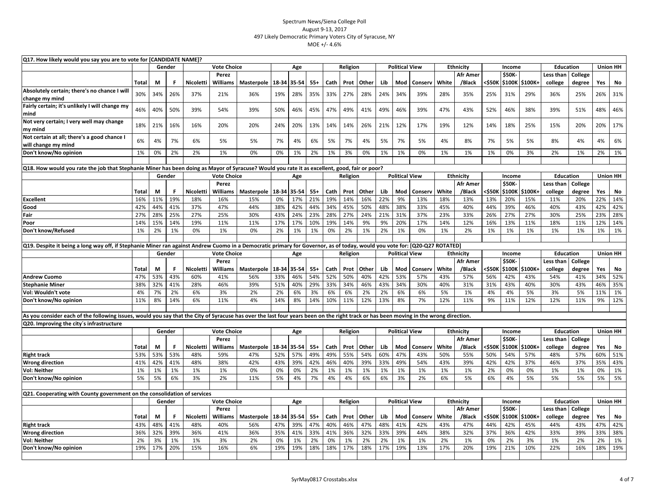| Q17. How likely would you say you are to vote for [CANDIDATE NAME]?<br><b>Education</b><br>Gender<br><b>Political View</b>                                                            |              |          |           |                                                           |                          |                   |              |              |              |             |             |              |                       |                       |                |                  |                           |               |                  |                  |                      |                   |                 |                 |
|---------------------------------------------------------------------------------------------------------------------------------------------------------------------------------------|--------------|----------|-----------|-----------------------------------------------------------|--------------------------|-------------------|--------------|--------------|--------------|-------------|-------------|--------------|-----------------------|-----------------------|----------------|------------------|---------------------------|---------------|------------------|------------------|----------------------|-------------------|-----------------|-----------------|
|                                                                                                                                                                                       |              |          |           |                                                           | <b>Vote Choice</b>       |                   |              | Age          |              |             | Religion    |              |                       |                       |                |                  | <b>Ethnicity</b>          |               | Income           |                  |                      |                   |                 | <b>Union HH</b> |
|                                                                                                                                                                                       | <b>Total</b> | М        | F         | Perez<br>Nicoletti<br><b>Williams</b><br>Masterpole 18-34 |                          |                   |              | 35-54        | $55+$        | Cath        | Prot        | Other        | Lib                   | Mod                   | Conserv        | White            | Afr Amer<br>/Black        | <\$50K        | \$50K-           | \$100K \$100K+   | Less than<br>college | College<br>degree | Yes             | No              |
| Absolutely certain; there's no chance I will<br>change my mind                                                                                                                        | 30%          | 34%      | 26%       | 37%                                                       | 21%                      | 36%               | 19%          | 28%          | 35%          | 33%         | 27%         | 28%          | 24%                   | 34%                   | 39%            | 28%              | 35%                       | 25%           | 31%              | 29%              | 36%                  | 25%               | 26%             | 31%             |
| Fairly certain; it's unlikely I will change my<br>mind                                                                                                                                | 46%          | 40%      | 50%       | 39%                                                       | 54%                      | 39%               | 50%          | 46%          | 45%          | 47%         | 49%         | 41%          | 49%                   | 46%                   | 39%            | 47%              | 43%                       | 52%           | 46%              | 38%              | 39%                  | 51%               | 48%             | 46%             |
| Not very certain; I very well may change                                                                                                                                              | 18%          | 21%      | 16%       | 16%                                                       | 20%                      | 20%               | 24%          | 20%          | 13%          | 14%         | 14%         | 26%          | 21%                   | 12%                   | 17%            | 19%              | 12%                       | 14%           | 18%              | 25%              | 15%                  | 20%               | 20%             | 17%             |
| my mind<br>Not certain at all; there's a good chance I                                                                                                                                | 6%           | 4%       | 7%        | 6%                                                        | 5%                       | 5%                | 7%           | 4%           | 6%           | 5%          | 7%          | 4%           | 5%                    | 7%                    | 5%             | 4%               | 8%                        | 7%            | 5%               | 5%               | 8%                   | 4%                | 4%              | 6%              |
| will change my mind<br>Don't know/No opinion                                                                                                                                          | 1%           | 0%       | 2%        | 2%                                                        | 1%                       | 0%                | 0%           | 1%           | 2%           | 1%          | 3%          | 0%           | 1%                    | 1%                    | 0%             | 1%               | 1%                        | 1%            | 0%               | 3%               | 2%                   | 1%                | 2%              | 1%              |
|                                                                                                                                                                                       |              |          |           |                                                           |                          |                   |              |              |              |             |             |              |                       |                       |                |                  |                           |               |                  |                  |                      |                   |                 |                 |
| Q18. How would you rate the job that Stephanie Miner has been doing as Mayor of Syracuse? Would you rate it as excellent, good, fair or poor?                                         |              |          |           |                                                           |                          |                   |              |              |              |             |             |              |                       |                       |                |                  |                           |               |                  |                  |                      |                   |                 |                 |
|                                                                                                                                                                                       |              |          | Gender    |                                                           | <b>Vote Choice</b>       |                   |              | Age          |              |             | Religion    |              |                       | <b>Political View</b> |                |                  | Ethnicity                 |               | Income           |                  | <b>Education</b>     |                   |                 | <b>Union HH</b> |
|                                                                                                                                                                                       | Total        | M        | F.        | Nicoletti                                                 | Perez<br><b>Williams</b> | Masterpole        | 18-34        | 35-54        | $55+$        | Cath        | Prot        | Other        | Lib                   | Mod                   | Conserv        | White            | Afr Amer<br>/Black        | <\$50K        | \$50K-<br>\$100K | \$100K+          | Less than<br>college | College<br>degree | Yes             | No              |
| <b>Excellent</b>                                                                                                                                                                      | 16%          | 11%      | 19%       | 18%                                                       | 16%                      | 15%               | 0%           | 17%          | 21%          | 19%         | 14%         | 16%          | 22%                   | 9%                    | 13%            | 18%              | 13%                       | 13%           | 20%              | 15%              | 11%                  | 20%               | 22%             | 14%             |
| Good                                                                                                                                                                                  | 42%          | 44%      | 41%       | 37%                                                       | 47%                      | 44%               | 38%          | 42%          | 44%          | 34%         | 45%         | 50%          | 48%                   | 38%                   | 33%            | 45%              | 40%                       | 44%           | 39%              | 46%              | 40%                  | 43%               | 42%             | 42%             |
| Fair                                                                                                                                                                                  | 27%          | 28%      | 25%       | 27%                                                       | 25%                      | 30%               | 43%          | 24%          | 23%          | 28%         | 27%         | 24%          | 21%                   | 31%                   | 37%            | 23%              | 33%                       | 26%           | 27%              | 27%              | 30%                  | 25%               | 23%             | 28%             |
| Poor                                                                                                                                                                                  | 14%          | 15%      | 14%       | 19%                                                       | 11%                      | 11%               | 17%          | 17%          | 10%          | 19%         | 14%         | 9%           | 9%                    | 20%                   | 17%            | 14%              | 12%                       | 16%           | 13%              | 11%              | 18%                  | 11%               | 12%             | 14%             |
| Don't know/Refused                                                                                                                                                                    | 1%           | 2%       | 1%        | 0%                                                        | 1%                       | 0%                | 2%           | 1%           | 1%           | 0%          | 2%          | 1%           | 2%                    | 1%                    | 0%             | 1%               | 2%                        | 1%            | 1%               | 1%               | 1%                   | 1%                | 1%              | 1%              |
| Q19. Despite it being a long way off, if Stephanie Miner ran against Andrew Cuomo in a Democratic primary for Governor, as of today, would you vote for: [Q20-Q27 ROTATED]            |              |          |           |                                                           |                          |                   |              |              |              |             |             |              |                       |                       |                |                  |                           |               |                  |                  |                      |                   |                 |                 |
|                                                                                                                                                                                       |              |          | Gender    |                                                           | <b>Vote Choice</b>       |                   | Age          |              |              | Religion    |             |              | <b>Political View</b> |                       |                | <b>Ethnicity</b> |                           | Income        |                  | <b>Education</b> |                      |                   | <b>Union HH</b> |                 |
|                                                                                                                                                                                       | <b>Total</b> | M        | F.        | <b>Nicoletti</b>                                          | Perez<br>Williams        | Masterpole 18-34  |              | 35-54        | $55+$        | Cath        | Prot        | Other        | Lib                   | Mod                   | Conserv        | White            | <b>Afr Amer</b><br>/Black | <\$50K        | \$50K-<br>\$100K | \$100K+          | Less than<br>college | College<br>degree | Yes             | No              |
| <b>Andrew Cuomo</b>                                                                                                                                                                   | 47%          | 53%      | 43%       | 60%                                                       | 41%                      | 56%               | 33%          | 46%          | 54%          | 52%         | 50%         | 40%          | 42%                   | 53%                   | 57%            | 43%              | 57%                       | 56%           | 42%              | 43%              | 54%                  | 41%               | 34%             | 52%             |
| <b>Stephanie Miner</b>                                                                                                                                                                | 38%          | 32%      | 41%       | 28%                                                       | 46%                      | 39%               | 51%          | 40%          | 29%          | 33%         | 34%         | 46%          | 43%                   | 34%                   | 30%            | 40%              | 31%                       | 31%           | 43%              | 40%              | 30%                  | 43%               | 46%             | 35%             |
| Vol: Wouldn't vote                                                                                                                                                                    | 4%           | 7%       | 2%        | 6%                                                        | 3%                       | 2%                | 2%           | 6%           | 3%           | 6%          | 6%          | 2%           | 2%                    | 6%                    | 6%             | 5%               | 1%                        | 4%            | 4%               | 5%               | 3%                   | 5%                | 11%             | 1%              |
| Don't know/No opinion                                                                                                                                                                 | 11%          | 8%       | 14%       | 6%                                                        | 11%                      | 4%                | 14%          | 8%           | 14%          | 10%         | 11%         | 12%          | 13%                   | 8%                    | 7%             | 12%              | 11%                       | 9%            | 11%              | 12%              | 12%                  | 11%               | 9%              | 12%             |
|                                                                                                                                                                                       |              |          |           |                                                           |                          |                   |              |              |              |             |             |              |                       |                       |                |                  |                           |               |                  |                  |                      |                   |                 |                 |
| As you consider each of the following issues, would you say that the City of Syracuse has over the last four years been on the right track or has been moving in the wrong direction. |              |          |           |                                                           |                          |                   |              |              |              |             |             |              |                       |                       |                |                  |                           |               |                  |                  |                      |                   |                 |                 |
| Q20. Improving the city's infrastructure                                                                                                                                              |              |          |           |                                                           |                          |                   |              |              |              |             |             |              |                       |                       |                |                  |                           |               |                  |                  |                      |                   |                 |                 |
|                                                                                                                                                                                       |              |          | Gender    |                                                           | <b>Vote Choice</b>       |                   |              | Age          |              |             | Religion    |              |                       | <b>Political View</b> |                |                  | <b>Ethnicity</b>          |               | Income           |                  | <b>Education</b>     |                   |                 | <b>Union HH</b> |
|                                                                                                                                                                                       | Total        | М        | F.        | Nicoletti                                                 | Perez<br><b>Williams</b> | Masterpole        | 18-34        | 35-54        | $55+$        | Cath        | Prot        | Other        | Lib                   | Mod                   | Conserv        | White            | <b>Afr Amer</b><br>/Black | <\$50K        | \$50K-<br>\$100K | \$100K+          | Less than<br>college | College<br>degree | Yes             | No              |
| <b>Right track</b>                                                                                                                                                                    | 53%          | 53%      | 53%       | 48%                                                       | 59%                      | 47%               | 52%          | 57%          | 49%          | 49%         | 55%         | 54%          | 60%                   | 47%                   | 43%            | 50%              | 55%                       | 50%           | 54%              | 57%              | 48%                  | 57%               | 60%             | 51%             |
| <b>Wrong direction</b>                                                                                                                                                                | 41%          | 42%      | 41%       | 48%                                                       | 38%                      | 42%               | 43%          | 39%          | 42%          | 46%         | 40%         | 39%          | 33%                   | 49%                   | 54%            | 43%              | 39%                       | 42%           | 42%              | 37%              | 46%                  | 37%               | 35%             | 43%             |
| <b>Vol: Neither</b>                                                                                                                                                                   | 1%           | 1%       | 1%        | 1%                                                        | 1%                       | 0%                | 0%           | 0%           | 2%           | 1%          | 1%          | 1%           | 1%                    | 1%                    | 1%             | 1%               | 1%                        | 2%            | 0%               | 0%               | 1%                   | 1%                | 0%              | 1%              |
| Don't know/No opinion                                                                                                                                                                 | 5%           | 5%       | 6%        | 3%                                                        | 2%                       | 11%               | 5%           | 4%           | 7%           | 4%          | 4%          | 6%           | 6%                    | 3%                    | 2%             | 6%               | 5%                        | 6%            | 4%               | 5%               | 5%                   | 5%                | 5%              | 5%              |
| Q21. Cooperating with County government on the consolidation of services                                                                                                              |              |          |           |                                                           |                          |                   |              |              |              |             |             |              |                       |                       |                |                  |                           |               |                  |                  |                      |                   |                 |                 |
|                                                                                                                                                                                       |              |          | Gender    |                                                           | <b>Vote Choice</b>       |                   | Age          |              |              | Religion    |             |              | <b>Political View</b> |                       |                | <b>Ethnicity</b> |                           | Income        |                  | Education        |                      |                   | <b>Union HH</b> |                 |
|                                                                                                                                                                                       |              |          |           |                                                           | Perez                    |                   |              |              |              |             |             |              |                       |                       |                |                  | <b>Afr Amer</b>           |               | \$50K-           |                  | Less than            | College           |                 |                 |
| <b>Right track</b>                                                                                                                                                                    | Total<br>43% | M<br>48% | F.<br>41% | Nicoletti<br>48%                                          | <b>Williams</b><br>40%   | Masterpole<br>56% | 18-34<br>47% | 35-54<br>39% | $55+$<br>47% | Cath<br>40% | Prot<br>46% | Other<br>47% | Lib<br>48%            | Mod<br>41%            | Conserv<br>42% | White<br>43%     | /Black<br>47%             | <\$50K<br>44% | \$100K<br>42%    | \$100K+<br>45%   | college<br>44%       | degree<br>43%     | Yes<br>47%      | No<br>42%       |
|                                                                                                                                                                                       |              | 32%      | 39%       | 36%                                                       | 41%                      | 36%               | 35%          | 41%          | 33%          | 41%         | 36%         | 32%          | 33%                   | 39%                   | 44%            | 38%              | 32%                       | 37%           | 36%              | 42%              | 33%                  | 39%               | 33%             | 38%             |
| <b>Wrong direction</b><br><b>Vol: Neither</b>                                                                                                                                         | 36%<br>2%    | 3%       | 1%        | 1%                                                        | 3%                       | 2%                | 0%           | 1%           | 2%           | 0%          | 1%          | 2%           | 2%                    | 1%                    | 1%             | 2%               | 1%                        | 0%            | 2%               | 3%               | 1%                   | 2%                | 2%              | 1%              |
| Don't know/No opinion                                                                                                                                                                 | 19%          | 17%      | 20%       | 15%                                                       | 16%                      | 6%                | 19%          | 19%          | 18%          | 18%         | 17%         | 18%          | 17%                   | 19%                   | 13%            | 17%              | 20%                       | 19%           | 21%              | 10%              | 22%                  | 16%               | 18%             | 19%             |
|                                                                                                                                                                                       |              |          |           |                                                           |                          |                   |              |              |              |             |             |              |                       |                       |                |                  |                           |               |                  |                  |                      |                   |                 |                 |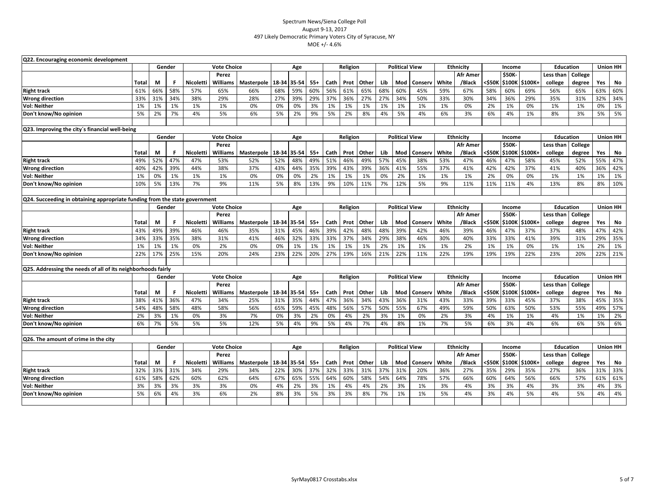| Q22. Encouraging economic development<br><b>Vote Choice</b><br><b>Ethnicity</b><br><b>Education</b><br><b>Union HH</b><br>Gender<br>Religion<br><b>Political View</b><br>Age<br>Income |       |        |     |                    |                    |                            |             |       |       |      |          |       |     |                       |         |       |                  |        |                         |         |                  |         |                 |                 |
|----------------------------------------------------------------------------------------------------------------------------------------------------------------------------------------|-------|--------|-----|--------------------|--------------------|----------------------------|-------------|-------|-------|------|----------|-------|-----|-----------------------|---------|-------|------------------|--------|-------------------------|---------|------------------|---------|-----------------|-----------------|
|                                                                                                                                                                                        |       |        |     |                    |                    |                            |             |       |       |      |          |       |     |                       |         |       |                  |        |                         |         |                  |         |                 |                 |
|                                                                                                                                                                                        |       |        |     |                    | Perez              |                            |             |       |       |      |          |       |     |                       |         |       | Afr Amer         |        | \$50K-                  |         | Less than        | College |                 |                 |
|                                                                                                                                                                                        | Total | M      | F   | Nicoletti          | Williams           | Masterpole                 | 18-34 35-54 |       | $55+$ | Cath | Prot     | Other | Lib | Mod                   | Conserv | White | /Black           | <\$50К | \$100K                  | \$100K+ | college          | degree  | Yes             | No              |
| <b>Right track</b>                                                                                                                                                                     | 61%   | 66%    | 58% | 57%                | 65%                | 66%                        | 68%         | 59%   | 60%   | 56%  | 61%      | 65%   | 68% | 60%                   | 45%     | 59%   | 67%              | 58%    | 60%                     | 69%     | 56%              | 65%     | 63%             | 60%             |
| <b>Wrong direction</b>                                                                                                                                                                 | 33%   | 31%    | 34% | 38%                | 29%                | 28%                        | 27%         | 39%   | 29%   | 37%  | 36%      | 27%   | 27% | 34%                   | 50%     | 33%   | 30%              | 34%    | 36%                     | 29%     | 35%              | 31%     | 32%             | 34%             |
| <b>Vol: Neither</b>                                                                                                                                                                    | 1%    | 1%     | 1%  | 1%                 | 1%                 | 0%                         | 0%          | 0%    | 3%    | 1%   | 1%       | 1%    | 1%  | 1%                    | 1%      | 1%    | 0%               | 2%     | 1%                      | 0%      | 1%               | 1%      | 0%              | 1%              |
| Don't know/No opinion                                                                                                                                                                  | 5%    | 2%     | 7%  | 4%                 | 5%                 | 6%                         | 5%          | 2%    | 9%    | 5%   | 2%       | 8%    | 4%  | 5%                    | 4%      | 6%    | 3%               | 6%     | 4%                      | 1%      | 8%               | 3%      | 5%              | 5%              |
|                                                                                                                                                                                        |       |        |     |                    |                    |                            |             |       |       |      |          |       |     |                       |         |       |                  |        |                         |         |                  |         |                 |                 |
| Q23. Improving the city's financial well-being                                                                                                                                         |       |        |     |                    |                    |                            |             |       |       |      |          |       |     |                       |         |       |                  |        |                         |         |                  |         |                 |                 |
|                                                                                                                                                                                        |       | Gender |     |                    | <b>Vote Choice</b> |                            |             | Age   |       |      | Religion |       |     | <b>Political View</b> |         |       | <b>Ethnicity</b> |        | Income                  |         | <b>Education</b> |         |                 | <b>Union HH</b> |
|                                                                                                                                                                                        |       |        |     |                    | Perez              |                            |             |       |       |      |          |       |     |                       |         |       | Afr Amer         |        | <b>\$50K-</b>           |         | Less than        | College |                 |                 |
|                                                                                                                                                                                        | Total | М      | F   | Nicoletti          | Williams           | Masterpole                 | 18-34       | 35-54 | $55+$ | Cath | Prot     | Other | Lib | Mod                   | Conserv | White | /Black           | <\$50K | \$100K                  | \$100K+ | college          | degree  | Yes             | No              |
| <b>Right track</b>                                                                                                                                                                     | 49%   | 52%    | 47% | 47%                | 53%                | 52%                        | 52%         | 48%   | 49%   | 51%  | 46%      | 49%   | 57% | 45%                   | 38%     | 53%   | 47%              | 46%    | 47%                     | 58%     | 45%              | 52%     | 55%             | 47%             |
| <b>Wrong direction</b>                                                                                                                                                                 | 40%   | 42%    | 39% | 44%                | 38%                | 37%                        | 43%         | 44%   | 35%   | 39%  | 43%      | 39%   | 36% | 41%                   | 55%     | 37%   | 41%              | 42%    | 42%                     | 37%     | 41%              | 40%     | 36%             | 42%             |
| <b>Vol: Neither</b>                                                                                                                                                                    | 1%    | 0%     | 1%  | 1%                 | 1%                 | 0%                         | 0%          | 0%    | 2%    | 1%   | 1%       | 1%    | 0%  | 2%                    | 1%      | 1%    | 1%               | 2%     | 0%                      | 0%      | 1%               | 1%      | 1%              | 1%              |
| Don't know/No opinion                                                                                                                                                                  | 10%   | 5%     | 13% | 7%                 | 9%                 | 11%                        | 5%          | 8%    | 13%   | 9%   | 10%      | 11%   | 7%  | 12%                   | 5%      | 9%    | 11%              | 11%    | 11%                     | 4%      | 13%              | 8%      | 8%              | 10%             |
|                                                                                                                                                                                        |       |        |     |                    |                    |                            |             |       |       |      |          |       |     |                       |         |       |                  |        |                         |         |                  |         |                 |                 |
| Q24. Succeeding in obtaining appropriate funding from the state government                                                                                                             |       |        |     |                    |                    |                            |             |       |       |      |          |       |     |                       |         |       |                  |        |                         |         |                  |         |                 |                 |
|                                                                                                                                                                                        |       | Gender |     |                    | <b>Vote Choice</b> |                            |             | Age   |       |      | Religion |       |     | <b>Political View</b> |         |       | Ethnicity        |        | Income                  |         | <b>Education</b> |         |                 | <b>Union HH</b> |
|                                                                                                                                                                                        |       |        |     |                    | Perez              |                            |             |       |       |      |          |       |     |                       |         |       | Afr Amer         |        | \$50K-                  |         | Less than        | College |                 |                 |
|                                                                                                                                                                                        | Total | М      | F   | Nicoletti          | Williams           | Masterpole                 | 18-34       | 35-54 | $55+$ | Cath | Prot     | Other | Lib | Mod                   | Conserv | White | /Black           | <\$50K | \$100K                  | \$100K+ | college          | degree  | Yes             | No              |
| <b>Right track</b>                                                                                                                                                                     | 43%   | 49%    | 39% | 46%                | 46%                | 35%                        | 31%         | 45%   | 46%   | 39%  | 42%      | 48%   | 48% | 39%                   | 42%     | 46%   | 39%              | 46%    | 47%                     | 37%     | 37%              | 48%     | 47%             | 42%             |
| <b>Wrong direction</b>                                                                                                                                                                 | 34%   | 33%    | 35% | 38%                | 31%                | 41%                        | 46%         | 32%   | 33%   | 33%  | 37%      | 34%   | 29% | 38%                   | 46%     | 30%   | 40%              | 33%    | 33%                     | 41%     | 39%              | 31%     | 29%             | 35%             |
| <b>Vol: Neither</b>                                                                                                                                                                    | 1%    | 1%     | 1%  | 0%                 | 2%                 | 0%                         | 0%          | 1%    | 1%    | 1%   | 1%       | 1%    | 2%  | 1%                    | 1%      | 1%    | 2%               | 1%     | 1%                      | 0%      | 1%               | 1%      | 2%              | 1%              |
| Don't know/No opinion                                                                                                                                                                  | 22%   | 17%    | 25% | 15%                | 20%                | 24%                        | 23%         | 22%   | 20%   | 27%  | 19%      | 16%   | 21% | 22%                   | 11%     | 22%   | 19%              | 19%    | 19%                     | 22%     | 23%              | 20%     | 22%             | 21%             |
|                                                                                                                                                                                        |       |        |     |                    |                    |                            |             |       |       |      |          |       |     |                       |         |       |                  |        |                         |         |                  |         |                 |                 |
| Q25. Addressing the needs of all of its neighborhoods fairly                                                                                                                           |       | Gender |     |                    | <b>Vote Choice</b> |                            |             |       |       |      |          |       |     | <b>Political View</b> |         |       | Ethnicity        |        |                         |         | <b>Education</b> |         | <b>Union HH</b> |                 |
|                                                                                                                                                                                        |       |        |     |                    | Perez              |                            |             | Age   |       |      | Religion |       |     |                       |         |       | Afr Amer         |        | Income<br><b>\$50K-</b> |         | Less than        | College |                 |                 |
|                                                                                                                                                                                        | Total | M      |     | Nicoletti          | Williams           | Masterpole                 | 18-34       | 35-54 | $55+$ | Cath | Prot     | Other | Lib | Mod                   | Conserv | White | /Black           | <\$50K | \$100K                  | \$100K+ | college          | degree  | Yes             | No              |
| <b>Right track</b>                                                                                                                                                                     | 38%   | 41%    | 36% | 47%                | 34%                | 25%                        | 31%         | 35%   | 44%   | 47%  | 36%      | 34%   | 43% | 36%                   | 31%     | 43%   | 33%              | 39%    | 33%                     | 45%     | 37%              | 38%     | 45%             | 35%             |
| <b>Wrong direction</b>                                                                                                                                                                 | 54%   | 48%    | 58% | 48%                | 58%                | 56%                        | 65%         | 59%   | 45%   | 48%  | 56%      | 57%   | 50% | 55%                   | 67%     | 49%   | 59%              | 50%    | 63%                     | 50%     | 53%              | 55%     | 49%             | 57%             |
| <b>Vol: Neither</b>                                                                                                                                                                    | 2%    | 3%     | 1%  | 0%                 | 3%                 | 7%                         | 0%          | 3%    | 2%    | 0%   | 4%       | 2%    | 3%  | 1%                    | 0%      | 2%    | 3%               | 4%     | 1%                      | 1%      | 4%               | 1%      | 1%              | 2%              |
| Don't know/No opinion                                                                                                                                                                  | 6%    | 7%     | 5%  | 5%                 | 5%                 | 12%                        | 5%          | 4%    | 9%    | 5%   | 4%       | 7%    | 4%  | 8%                    | 1%      | 7%    | 5%               | 6%     | 3%                      | 4%      | 6%               | 6%      | 5%              | 6%              |
|                                                                                                                                                                                        |       |        |     |                    |                    |                            |             |       |       |      |          |       |     |                       |         |       |                  |        |                         |         |                  |         |                 |                 |
| Q26. The amount of crime in the city                                                                                                                                                   |       |        |     |                    |                    |                            |             |       |       |      |          |       |     |                       |         |       |                  |        |                         |         |                  |         |                 |                 |
|                                                                                                                                                                                        |       | Gender |     | <b>Vote Choice</b> |                    |                            |             | Age   |       |      | Religion |       |     | <b>Political View</b> |         |       | Ethnicity        |        | Income                  |         | <b>Education</b> |         | <b>Union HH</b> |                 |
|                                                                                                                                                                                        |       |        |     |                    | Perez              |                            |             |       |       |      |          |       |     |                       |         |       | Afr Amer         |        | <b>\$50K-</b>           |         | Less than        | College |                 |                 |
|                                                                                                                                                                                        | Total | М      | F   | Nicoletti          | <b>Williams</b>    | Masterpole   18-34   35-54 |             |       | 55+   | Cath | Prot     | Other | Lib | Mod                   | Conserv | White | /Black           | <\$50K | \$100K                  | \$100K+ | college          | degree  | Yes             | No              |
| <b>Right track</b>                                                                                                                                                                     | 32%   | 33%    | 31% | 34%                | 29%                | 34%                        | 22%         | 30%   | 37%   | 32%  | 33%      | 31%   | 37% | 31%                   | 20%     | 36%   | 27%              | 35%    | 29%                     | 35%     | 27%              | 36%     | 31%             | 33%             |
| <b>Wrong direction</b>                                                                                                                                                                 | 61%   | 58%    | 62% | 60%                | 62%                | 64%                        | 67%         | 65%   | 55%   | 64%  | 60%      | 58%   | 54% | 64%                   | 78%     | 57%   | 66%              | 60%    | 64%                     | 56%     | 66%              | 57%     | 61%             | 61%             |
| <b>Vol: Neither</b>                                                                                                                                                                    | 3%    | 3%     | 3%  | 3%                 | 3%                 | 0%                         | 4%          | 2%    | 3%    | 1%   | 4%       | 4%    | 2%  | 3%                    | 1%      | 3%    | 4%               | 3%     | 3%                      | 4%      | 3%               | 3%      | 4%              | 3%              |
| Don't know/No opinion                                                                                                                                                                  | 5%    | 6%     | 4%  | 3%                 | 6%                 | 2%                         | 8%          | 3%    | 5%    | 3%   | 3%       | 8%    | 7%  | 1%                    | 1%      | 5%    | 4%               | 3%     | 4%                      | 5%      | 4%               | 5%      | 4%              | 4%              |
|                                                                                                                                                                                        |       |        |     |                    |                    |                            |             |       |       |      |          |       |     |                       |         |       |                  |        |                         |         |                  |         |                 |                 |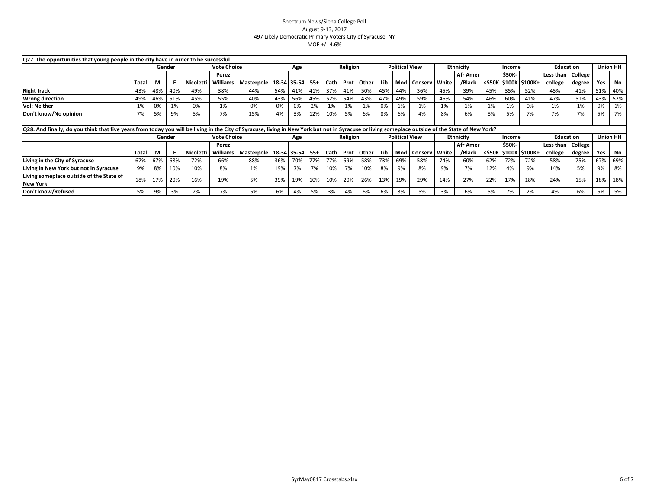| Q27. The opportunities that young people in the city have in order to be successful<br><b>Union HH</b><br><b>Political View</b><br><b>Ethnicity</b><br><b>Education</b><br>Gender                   |       |     |        |           |                    |                            |     |     |      |             |          |              |                       |         |                   |       |                  |               |               |                                                                                                      |                   |        |     |                 |
|-----------------------------------------------------------------------------------------------------------------------------------------------------------------------------------------------------|-------|-----|--------|-----------|--------------------|----------------------------|-----|-----|------|-------------|----------|--------------|-----------------------|---------|-------------------|-------|------------------|---------------|---------------|------------------------------------------------------------------------------------------------------|-------------------|--------|-----|-----------------|
|                                                                                                                                                                                                     |       |     |        |           | <b>Vote Choice</b> |                            |     | Age |      |             | Religion |              |                       |         |                   |       |                  |               | Income        |                                                                                                      |                   |        |     |                 |
|                                                                                                                                                                                                     |       |     |        |           | Perez              |                            |     |     |      |             |          |              |                       |         |                   |       | Afr Amer         |               | <b>\$50K-</b> |                                                                                                      | Less than College |        |     |                 |
|                                                                                                                                                                                                     | Total | M   |        | Nicoletti | <b>Williams</b>    | Masterpole   18-34   35-54 |     |     | -55+ | <b>Cath</b> |          | Prot Other   | Lib.                  |         | Mod Conserv White |       | /Black           |               |               | <s50k \$100k="" \$100k+<="" th=""  =""><th>college</th><th>degree</th><th>Yes</th><th>No</th></s50k> | college           | degree | Yes | No              |
| <b>Right track</b>                                                                                                                                                                                  | 43%   | 48% | 40%    | 49%       | 38%                | 44%                        | 54% | 41% | 41%  | 37%         | 41%      | 50%          |                       | 45% 44% | 36%               | 45%   | 39%              | 45%           | 35%           | 52%                                                                                                  | 45%               | 41%    | 51% | 40%             |
| <b>Wrong direction</b>                                                                                                                                                                              | 49%   | 46% | 51%    | 45%       | 55%                | 40%                        | 43% | 56% | 45%  | 52%         | 54%      | 43%          |                       | 47% 49% | 59%               | 46%   | 54%              | 46%           | 60%           | 41%                                                                                                  | 47%               | 51%    | 43% | 52%             |
| <b>Vol: Neither</b>                                                                                                                                                                                 | 1%    | 0%  | 1%     | 0%        | 1%                 | 0%                         | 0%  | 0%  | 2%   | 1%          | 1%       | 1%           | 0%                    | 1%      | 1%                | 1%    | 1%               | 1%            | 1%            | 0%                                                                                                   | 1%                | 1%     | 0%  | 1%              |
| Don't know/No opinion                                                                                                                                                                               | 7%    | 5%  | 9%     | 5%        | 7%                 | 15%                        | 4%  | 3%  | 12%  | 10%         | 5%       | 6%           | 8%                    | 6%      | 4%                | 8%    | 6%               | 8%            | 5%            | 7%                                                                                                   | 7%                | 7%     | 5%  | 7%              |
|                                                                                                                                                                                                     |       |     |        |           |                    |                            |     |     |      |             |          |              |                       |         |                   |       |                  |               |               |                                                                                                      |                   |        |     |                 |
| [Q28. And finally, do you think that five years from today you will be living in the City of Syracuse, living in New York but not in Syracuse or living someplace outside of the State of New York? |       |     |        |           |                    |                            |     |     |      |             |          |              |                       |         |                   |       |                  |               |               |                                                                                                      |                   |        |     |                 |
|                                                                                                                                                                                                     |       |     | Gender |           | <b>Vote Choice</b> |                            | Age |     |      | Religion    |          |              | <b>Political View</b> |         |                   |       | <b>Ethnicity</b> | Income        |               |                                                                                                      | <b>Education</b>  |        |     | <b>Union HH</b> |
|                                                                                                                                                                                                     |       |     |        |           | Perez              |                            |     |     |      |             |          |              |                       |         |                   |       | Afr Amer         | <b>\$50K-</b> |               |                                                                                                      | Less than College |        |     |                 |
|                                                                                                                                                                                                     | Total | м   |        | Nicoletti | Williams           | Masterpole   18-34 35-54   |     |     | -55+ | Cath        |          | Prot   Other | Lib                   |         | Mod Conserv       | White | /Black           |               |               | <\$50K \$100K \$100K+                                                                                | college           | degree | Yes | No              |
| Living in the City of Syracuse                                                                                                                                                                      | 67%   | 67% | 68%    | 72%       | 66%                | 88%                        | 36% | 70% | 77%  | 77%         | 69%      | 58%          | 73%                   | 69%     | 58%               | 74%   | 60%              | 62%           | 72%           | 72%                                                                                                  | 58%               | 75%    | 67% | 69%             |
| Living in New York but not in Syracuse                                                                                                                                                              | 9%    | 8%  | 10%    | 10%       | 8%                 | 1%                         | 19% | 7%  | 7%   | 10%         | 7%       | 10%          | 8%                    | 9%      | 8%                | 9%    | 7%               | 12%           | 4%            | 9%                                                                                                   | 14%               | 5%     | 9%  | 8%              |
| Living someplace outside of the State of                                                                                                                                                            | 18%   | 17% | 20%    | 16%       | 19%                | 5%                         | 39% | 19% | 10%  | 10%         | 20%      | 26%          | 13%                   | 19%     | 29%               | 14%   | 27%              | 22%           | 17%           | 18%                                                                                                  | 24%               | 15%    | 18% | 18%             |
| <b>New York</b>                                                                                                                                                                                     |       |     |        |           |                    |                            |     |     |      |             |          |              |                       |         |                   |       |                  |               |               |                                                                                                      |                   |        |     |                 |
| Don't know/Refused                                                                                                                                                                                  | 5%    | 9%  | 3%     | 2%        | 7%                 | 5%                         | 6%  | 4%  | 5%   | 3%          | 4%       | 6%           | 6%                    | 3%      | 5%                | 3%    | 6%               | 5%            | 7%            | 2%                                                                                                   | 4%                | 6%     | 5%  | 5%              |